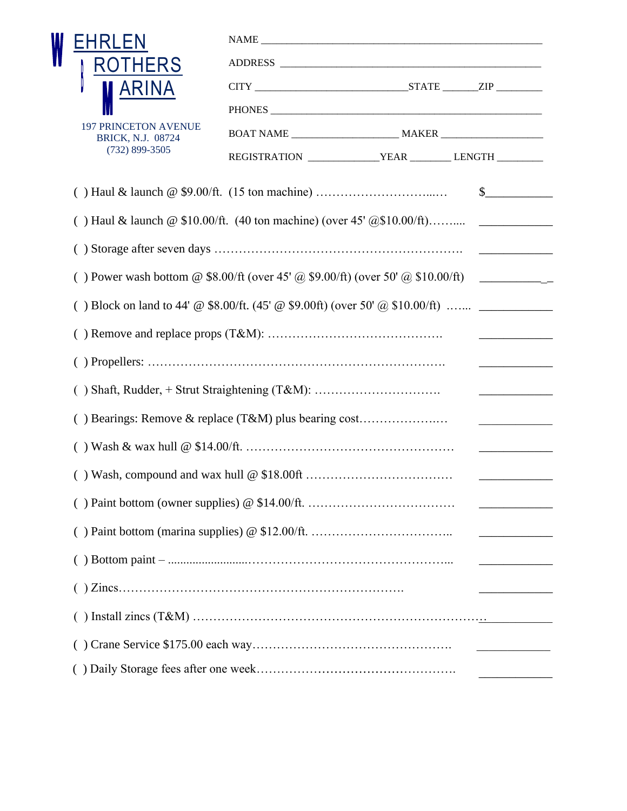| EHRLEN                                                                                |                                                                 |  |  |
|---------------------------------------------------------------------------------------|-----------------------------------------------------------------|--|--|
| <b>ROTHERS</b>                                                                        |                                                                 |  |  |
| ARINA                                                                                 |                                                                 |  |  |
|                                                                                       |                                                                 |  |  |
| <b>197 PRINCETON AVENUE</b><br><b>BRICK, N.J. 08724</b><br>$(732) 899 - 3505$         |                                                                 |  |  |
|                                                                                       | REGISTRATION __________________YEAR __________ LENGTH _________ |  |  |
|                                                                                       |                                                                 |  |  |
| () Haul & launch $\omega$ \$10.00/ft. (40 ton machine) (over 45' $\omega$ \$10.00/ft) |                                                                 |  |  |
|                                                                                       |                                                                 |  |  |
| () Power wash bottom @ \$8.00/ft (over 45' @ \$9.00/ft) (over 50' @ \$10.00/ft)       |                                                                 |  |  |
| () Block on land to 44' @ \$8.00/ft. (45' @ \$9.00ft) (over 50' @ \$10.00/ft)         |                                                                 |  |  |
| <u> Listen van de Berlingen van de Sta</u>                                            |                                                                 |  |  |
|                                                                                       |                                                                 |  |  |
|                                                                                       |                                                                 |  |  |
| <u> 1989 - Johann Harry Barn, mars a</u>                                              |                                                                 |  |  |
|                                                                                       |                                                                 |  |  |
| <u> De Barbara (Barbara)</u>                                                          |                                                                 |  |  |
|                                                                                       |                                                                 |  |  |
|                                                                                       |                                                                 |  |  |
|                                                                                       |                                                                 |  |  |
|                                                                                       |                                                                 |  |  |
|                                                                                       |                                                                 |  |  |
|                                                                                       |                                                                 |  |  |
|                                                                                       |                                                                 |  |  |